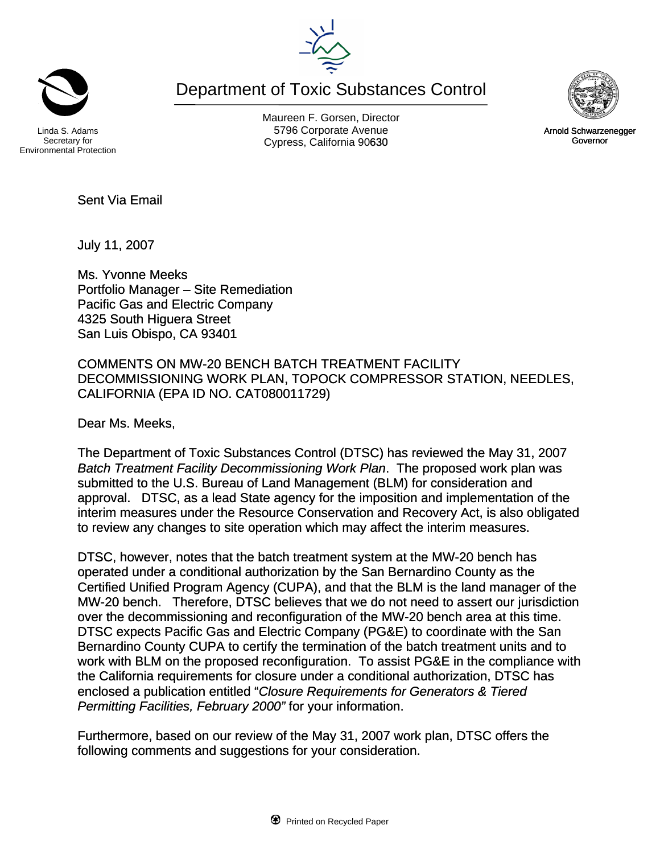Department of Toxic Substances Control



Secretary for Environmental Protection

Maureen F. Gorsen, Director Linda S. Adams **Example 20 Constructs** S796 Corporate Avenu Cypress, California 90630 Governor



July 11, 2007

Sent Via Email

Ms. Yvonne Meeks Portfolio Manager – Site Remediation Pacific Gas and Electric Company 4325 South Higuera Street San Luis Obispo, CA 93401

COMMENTS ON MW-20 BENCH BATCH TREATMENT FACILITY DECOMMISSIONING WORK PLAN, TOPOCK COMPRESSOR STATION, NEEDLES, CALIFORNIA (EPA ID NO. CAT080011729)

Dear Ms. Meeks,

The Department of Toxic Substances Control (DTSC) has reviewed the May 31, 2007 *Batch Treatment Facility Decommissioning Work Plan*. The proposed work plan was submitted to the U.S. Bureau of Land Management (BLM) for consideration and approval. DTSC, as a lead State agency for the imposition and implementation of the interim measures under the Resource Conservation and Recovery Act, is also obligated to review any changes to site operation which may affect the interim measures.

DTSC, however, notes that the batch treatment system at the MW-20 bench has operated under a conditional authorization by the San Bernardino County as the Certified Unified Program Agency (CUPA), and that the BLM is the land manager of the MW-20 bench. Therefore, DTSC believes that we do not need to assert our jurisdiction over the decommissioning and reconfiguration of the MW-20 bench area at this time. DTSC expects Pacific Gas and Electric Company (PG&E) to coordinate with the San Bernardino County CUPA to certify the termination of the batch treatment units and to work with BLM on the proposed reconfiguration. To assist PG&E in the compliance with the California requirements for closure under a conditional authorization, DTSC has enclosed a publication entitled "*Closure Requirements for Generators & Tiered Permitting Facilities, February 2000"* for your information.

Furthermore, based on our review of the May 31, 2007 work plan, DTSC offers the following comments and suggestions for your consideration.



Arnold Schwarzenegger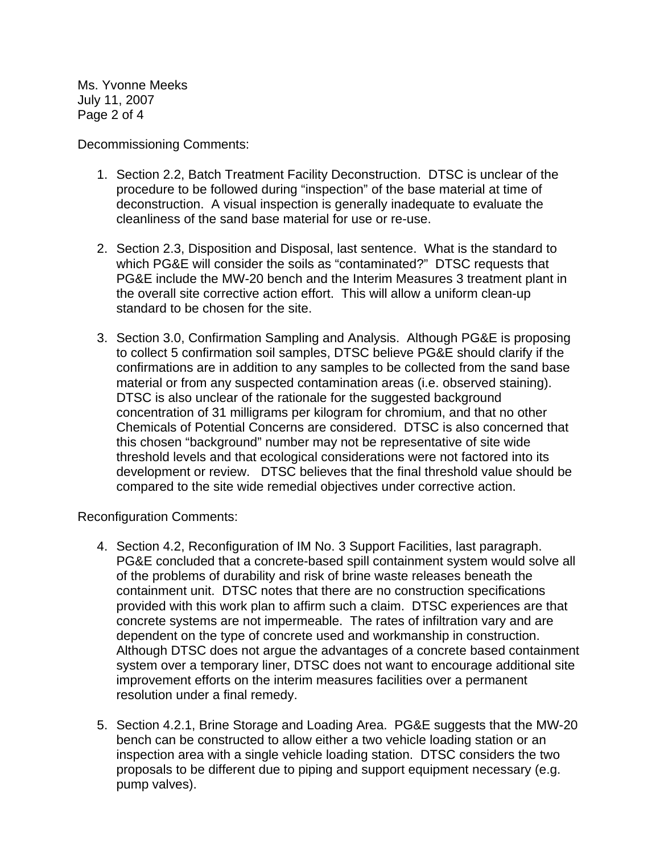Ms. Yvonne Meeks July 11, 2007 Page 2 of 4

Decommissioning Comments:

- 1. Section 2.2, Batch Treatment Facility Deconstruction. DTSC is unclear of the procedure to be followed during "inspection" of the base material at time of deconstruction. A visual inspection is generally inadequate to evaluate the cleanliness of the sand base material for use or re-use.
- 2. Section 2.3, Disposition and Disposal, last sentence. What is the standard to which PG&E will consider the soils as "contaminated?" DTSC requests that PG&E include the MW-20 bench and the Interim Measures 3 treatment plant in the overall site corrective action effort. This will allow a uniform clean-up standard to be chosen for the site.
- 3. Section 3.0, Confirmation Sampling and Analysis. Although PG&E is proposing to collect 5 confirmation soil samples, DTSC believe PG&E should clarify if the confirmations are in addition to any samples to be collected from the sand base material or from any suspected contamination areas (i.e. observed staining). DTSC is also unclear of the rationale for the suggested background concentration of 31 milligrams per kilogram for chromium, and that no other Chemicals of Potential Concerns are considered. DTSC is also concerned that this chosen "background" number may not be representative of site wide threshold levels and that ecological considerations were not factored into its development or review. DTSC believes that the final threshold value should be compared to the site wide remedial objectives under corrective action.

Reconfiguration Comments:

- 4. Section 4.2, Reconfiguration of IM No. 3 Support Facilities, last paragraph. PG&E concluded that a concrete-based spill containment system would solve all of the problems of durability and risk of brine waste releases beneath the containment unit. DTSC notes that there are no construction specifications provided with this work plan to affirm such a claim. DTSC experiences are that concrete systems are not impermeable. The rates of infiltration vary and are dependent on the type of concrete used and workmanship in construction. Although DTSC does not argue the advantages of a concrete based containment system over a temporary liner, DTSC does not want to encourage additional site improvement efforts on the interim measures facilities over a permanent resolution under a final remedy.
- 5. Section 4.2.1, Brine Storage and Loading Area. PG&E suggests that the MW-20 bench can be constructed to allow either a two vehicle loading station or an inspection area with a single vehicle loading station. DTSC considers the two proposals to be different due to piping and support equipment necessary (e.g. pump valves).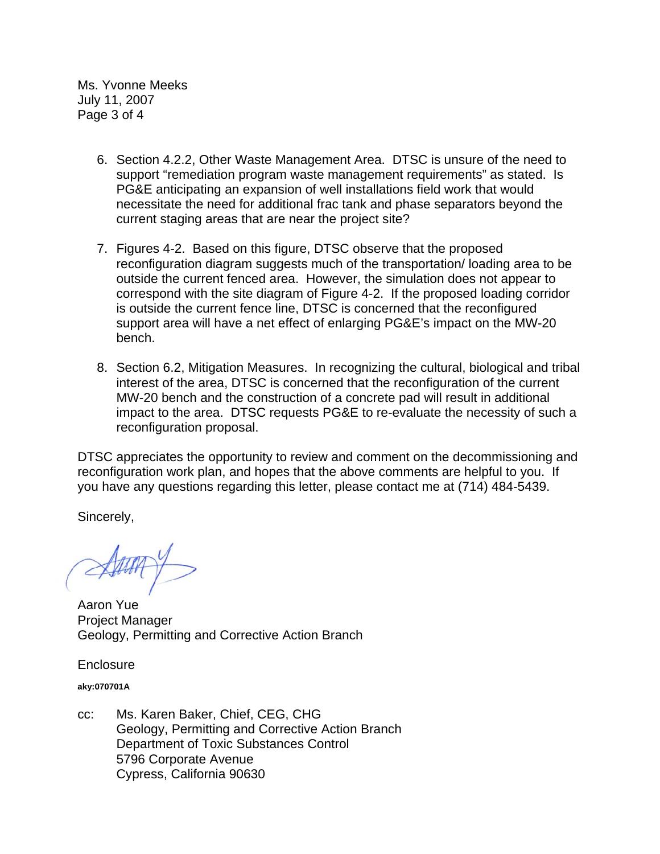Ms. Yvonne Meeks July 11, 2007 Page 3 of 4

- 6. Section 4.2.2, Other Waste Management Area. DTSC is unsure of the need to support "remediation program waste management requirements" as stated. Is PG&E anticipating an expansion of well installations field work that would necessitate the need for additional frac tank and phase separators beyond the current staging areas that are near the project site?
- 7. Figures 4-2. Based on this figure, DTSC observe that the proposed reconfiguration diagram suggests much of the transportation/ loading area to be outside the current fenced area. However, the simulation does not appear to correspond with the site diagram of Figure 4-2. If the proposed loading corridor is outside the current fence line, DTSC is concerned that the reconfigured support area will have a net effect of enlarging PG&E's impact on the MW-20 bench.
- 8. Section 6.2, Mitigation Measures. In recognizing the cultural, biological and tribal interest of the area, DTSC is concerned that the reconfiguration of the current MW-20 bench and the construction of a concrete pad will result in additional impact to the area. DTSC requests PG&E to re-evaluate the necessity of such a reconfiguration proposal.

DTSC appreciates the opportunity to review and comment on the decommissioning and reconfiguration work plan, and hopes that the above comments are helpful to you. If you have any questions regarding this letter, please contact me at (714) 484-5439.

Sincerely,

Aaron Yue Project Manager Geology, Permitting and Corrective Action Branch

**Enclosure** 

**aky:070701A** 

cc: Ms. Karen Baker, Chief, CEG, CHG Geology, Permitting and Corrective Action Branch Department of Toxic Substances Control 5796 Corporate Avenue Cypress, California 90630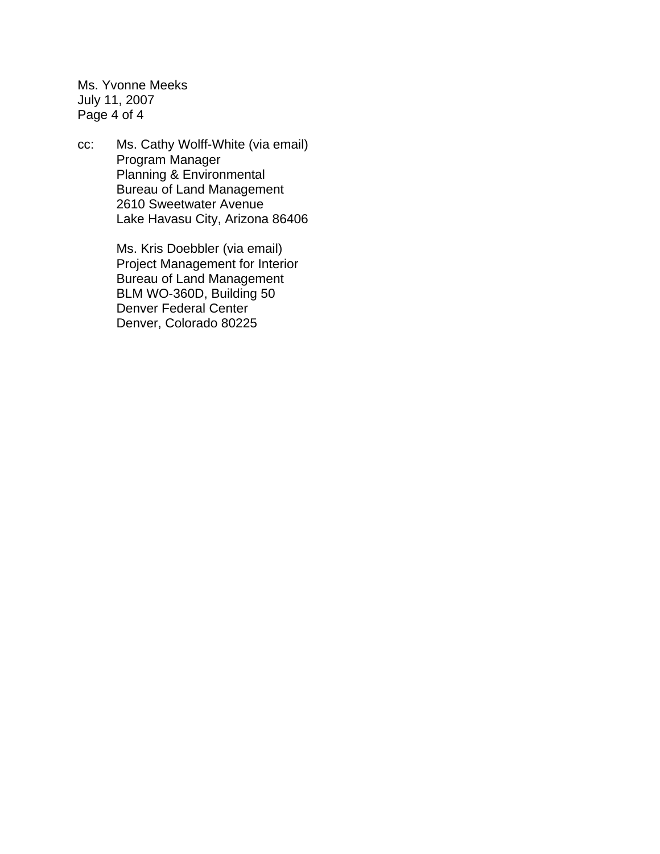Ms. Yvonne Meeks July 11, 2007 Page 4 of 4

cc: Ms. Cathy Wolff-White (via email) Program Manager Planning & Environmental Bureau of Land Management 2610 Sweetwater Avenue Lake Havasu City, Arizona 86406

> Ms. Kris Doebbler (via email) Project Management for Interior Bureau of Land Management BLM WO-360D, Building 50 Denver Federal Center Denver, Colorado 80225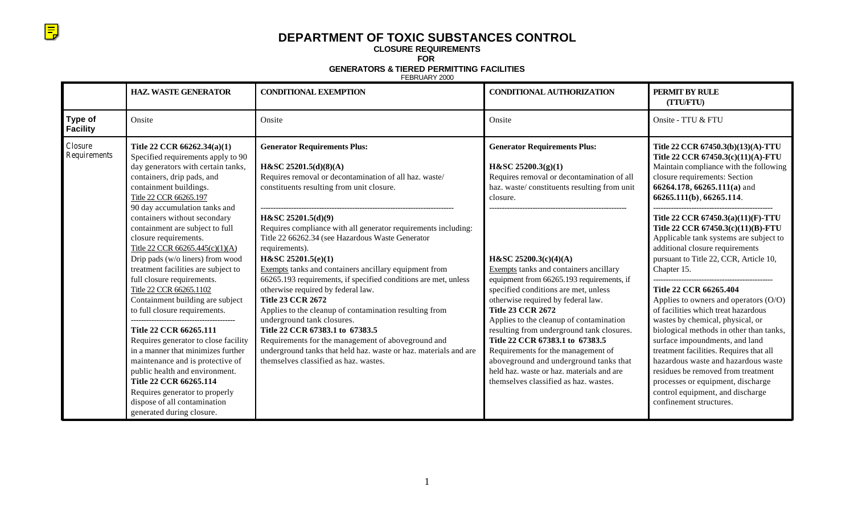## **DEPARTMENT OF TOXIC SUBSTANCES CONTROL**

**CLOSURE REQUIREMENTS**

 $\overline{\Xi}$ 

**FOR** 

**GENERATORS & TIERED PERMITTING FACILITIES**

FEBRUARY 2000

|                            | <b>HAZ. WASTE GENERATOR</b>                                                                                                                                                                                                                                                                                                                                                                                                       | <b>CONDITIONAL EXEMPTION</b>                                                                                                                                                                                                                                                                                                                                                                                                    | <b>CONDITIONAL AUTHORIZATION</b>                                                                                                                                                                                                                                                                                                                                                                                                                     | PERMIT BY RULE<br>(TTU/FTU)                                                                                                                                                                                                                                                                                                                                                                                                                           |
|----------------------------|-----------------------------------------------------------------------------------------------------------------------------------------------------------------------------------------------------------------------------------------------------------------------------------------------------------------------------------------------------------------------------------------------------------------------------------|---------------------------------------------------------------------------------------------------------------------------------------------------------------------------------------------------------------------------------------------------------------------------------------------------------------------------------------------------------------------------------------------------------------------------------|------------------------------------------------------------------------------------------------------------------------------------------------------------------------------------------------------------------------------------------------------------------------------------------------------------------------------------------------------------------------------------------------------------------------------------------------------|-------------------------------------------------------------------------------------------------------------------------------------------------------------------------------------------------------------------------------------------------------------------------------------------------------------------------------------------------------------------------------------------------------------------------------------------------------|
| Type of<br><b>Facility</b> | Onsite                                                                                                                                                                                                                                                                                                                                                                                                                            | Onsite                                                                                                                                                                                                                                                                                                                                                                                                                          | Onsite                                                                                                                                                                                                                                                                                                                                                                                                                                               | Onsite - TTU & FTU                                                                                                                                                                                                                                                                                                                                                                                                                                    |
| Closure<br>Requirements    | Title 22 CCR 66262.34(a)(1)<br>Specified requirements apply to 90<br>day generators with certain tanks,<br>containers, drip pads, and<br>containment buildings.<br>Title 22 CCR 66265.197<br>90 day accumulation tanks and                                                                                                                                                                                                        | <b>Generator Requirements Plus:</b><br>H&SC 25201.5(d)(8)(A)<br>Requires removal or decontamination of all haz. waste/<br>constituents resulting from unit closure.                                                                                                                                                                                                                                                             | <b>Generator Requirements Plus:</b><br>$H\&SC 25200.3(g)(1)$<br>Requires removal or decontamination of all<br>haz. waste/constituents resulting from unit<br>closure.                                                                                                                                                                                                                                                                                | Title 22 CCR 67450.3(b)(13)(A)-TTU<br>Title 22 CCR 67450.3(c)(11)(A)-FTU<br>Maintain compliance with the following<br>closure requirements: Section<br>66264.178, 66265.111(a) and<br>66265.111(b), 66265.114.                                                                                                                                                                                                                                        |
|                            | containers without secondary<br>containment are subject to full<br>closure requirements.<br>Title 22 CCR 66265.445(c)(1)(A)<br>Drip pads (w/o liners) from wood<br>treatment facilities are subject to                                                                                                                                                                                                                            | H&SC 25201.5(d)(9)<br>Requires compliance with all generator requirements including:<br>Title 22 66262.34 (see Hazardous Waste Generator<br>requirements).<br>H&SC 25201.5(e)(1)<br>Exempts tanks and containers ancillary equipment from                                                                                                                                                                                       | H&SC 25200.3(c)(4)(A)<br>Exempts tanks and containers ancillary                                                                                                                                                                                                                                                                                                                                                                                      | Title 22 CCR 67450.3(a)(11)(F)-TTU<br>Title 22 CCR 67450.3(c)(11)(B)-FTU<br>Applicable tank systems are subject to<br>additional closure requirements<br>pursuant to Title 22, CCR, Article 10,<br>Chapter 15.                                                                                                                                                                                                                                        |
|                            | full closure requirements.<br>Title 22 CCR 66265.1102<br>Containment building are subject<br>to full closure requirements.<br>Title 22 CCR 66265.111<br>Requires generator to close facility<br>in a manner that minimizes further<br>maintenance and is protective of<br>public health and environment.<br>Title 22 CCR 66265.114<br>Requires generator to properly<br>dispose of all contamination<br>generated during closure. | 66265.193 requirements, if specified conditions are met, unless<br>otherwise required by federal law.<br><b>Title 23 CCR 2672</b><br>Applies to the cleanup of contamination resulting from<br>underground tank closures.<br>Title 22 CCR 67383.1 to 67383.5<br>Requirements for the management of aboveground and<br>underground tanks that held haz. waste or haz. materials and are<br>themselves classified as haz. wastes. | equipment from 66265.193 requirements, if<br>specified conditions are met, unless<br>otherwise required by federal law.<br><b>Title 23 CCR 2672</b><br>Applies to the cleanup of contamination<br>resulting from underground tank closures.<br>Title 22 CCR 67383.1 to 67383.5<br>Requirements for the management of<br>aboveground and underground tanks that<br>held haz. waste or haz. materials and are<br>themselves classified as haz. wastes. | Title 22 CCR 66265.404<br>Applies to owners and operators $(O/O)$<br>of facilities which treat hazardous<br>wastes by chemical, physical, or<br>biological methods in other than tanks,<br>surface impoundments, and land<br>treatment facilities. Requires that all<br>hazardous waste and hazardous waste<br>residues be removed from treatment<br>processes or equipment, discharge<br>control equipment, and discharge<br>confinement structures. |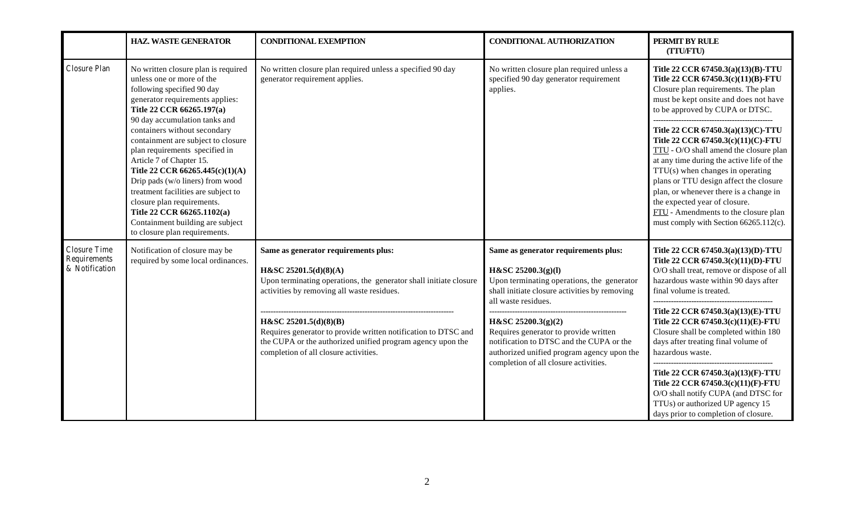|                                                       | <b>HAZ. WASTE GENERATOR</b>                                                                                                                                                                                                                                                                                                                                                                                                                                                                                   | <b>CONDITIONAL EXEMPTION</b>                                                                                                                                                                                                                                                                                                                                                       | <b>CONDITIONAL AUTHORIZATION</b>                                                                                                                                                                                                                                                                                                                                                                                          | PERMIT BY RULE<br>(TTU/FTU)                                                                                                                                                                                                                                                                                                                                                                                                                                                                                                                                                                              |
|-------------------------------------------------------|---------------------------------------------------------------------------------------------------------------------------------------------------------------------------------------------------------------------------------------------------------------------------------------------------------------------------------------------------------------------------------------------------------------------------------------------------------------------------------------------------------------|------------------------------------------------------------------------------------------------------------------------------------------------------------------------------------------------------------------------------------------------------------------------------------------------------------------------------------------------------------------------------------|---------------------------------------------------------------------------------------------------------------------------------------------------------------------------------------------------------------------------------------------------------------------------------------------------------------------------------------------------------------------------------------------------------------------------|----------------------------------------------------------------------------------------------------------------------------------------------------------------------------------------------------------------------------------------------------------------------------------------------------------------------------------------------------------------------------------------------------------------------------------------------------------------------------------------------------------------------------------------------------------------------------------------------------------|
| Closure Plan                                          | No written closure plan is required<br>unless one or more of the<br>following specified 90 day<br>generator requirements applies:<br>Title 22 CCR 66265.197(a)<br>90 day accumulation tanks and<br>containers without secondary<br>containment are subject to closure<br>plan requirements specified in<br>Article 7 of Chapter 15.<br>Title 22 CCR 66265.445(c)(1)(A)<br>Drip pads (w/o liners) from wood<br>treatment facilities are subject to<br>closure plan requirements.<br>Title 22 CCR 66265.1102(a) | No written closure plan required unless a specified 90 day<br>generator requirement applies.                                                                                                                                                                                                                                                                                       | No written closure plan required unless a<br>specified 90 day generator requirement<br>applies.                                                                                                                                                                                                                                                                                                                           | Title 22 CCR 67450.3(a)(13)(B)-TTU<br>Title 22 CCR 67450.3(c)(11)(B)-FTU<br>Closure plan requirements. The plan<br>must be kept onsite and does not have<br>to be approved by CUPA or DTSC.<br>-----------------------------------<br>Title 22 CCR 67450.3(a)(13)(C)-TTU<br>Title 22 CCR 67450.3(c)(11)(C)-FTU<br>TTU - O/O shall amend the closure plan<br>at any time during the active life of the<br>$TTU(s)$ when changes in operating<br>plans or TTU design affect the closure<br>plan, or whenever there is a change in<br>the expected year of closure.<br>FTU - Amendments to the closure plan |
|                                                       | Containment building are subject<br>to closure plan requirements.                                                                                                                                                                                                                                                                                                                                                                                                                                             |                                                                                                                                                                                                                                                                                                                                                                                    |                                                                                                                                                                                                                                                                                                                                                                                                                           | must comply with Section 66265.112(c).                                                                                                                                                                                                                                                                                                                                                                                                                                                                                                                                                                   |
| <b>Closure Time</b><br>Requirements<br>& Notification | Notification of closure may be<br>required by some local ordinances.                                                                                                                                                                                                                                                                                                                                                                                                                                          | Same as generator requirements plus:<br>H&SC 25201.5(d)(8)(A)<br>Upon terminating operations, the generator shall initiate closure<br>activities by removing all waste residues.<br>H&SC 25201.5(d)(8)(B)<br>Requires generator to provide written notification to DTSC and<br>the CUPA or the authorized unified program agency upon the<br>completion of all closure activities. | Same as generator requirements plus:<br>H&SC 25200.3(g)(l)<br>Upon terminating operations, the generator<br>shall initiate closure activities by removing<br>all waste residues.<br>-----------------------------------<br>H&SC 25200.3(g)(2)<br>Requires generator to provide written<br>notification to DTSC and the CUPA or the<br>authorized unified program agency upon the<br>completion of all closure activities. | Title 22 CCR 67450.3(a)(13)(D)-TTU<br>Title 22 CCR 67450.3(c)(11)(D)-FTU<br>O/O shall treat, remove or dispose of all<br>hazardous waste within 90 days after<br>final volume is treated.<br>Title 22 CCR 67450.3(a)(13)(E)-TTU<br>Title 22 CCR 67450.3(c)(11)(E)-FTU<br>Closure shall be completed within 180<br>days after treating final volume of<br>hazardous waste.<br>Title 22 CCR 67450.3(a)(13)(F)-TTU<br>Title 22 CCR 67450.3(c)(11)(F)-FTU<br>O/O shall notify CUPA (and DTSC for                                                                                                             |
|                                                       |                                                                                                                                                                                                                                                                                                                                                                                                                                                                                                               |                                                                                                                                                                                                                                                                                                                                                                                    |                                                                                                                                                                                                                                                                                                                                                                                                                           | TTUs) or authorized UP agency 15<br>days prior to completion of closure.                                                                                                                                                                                                                                                                                                                                                                                                                                                                                                                                 |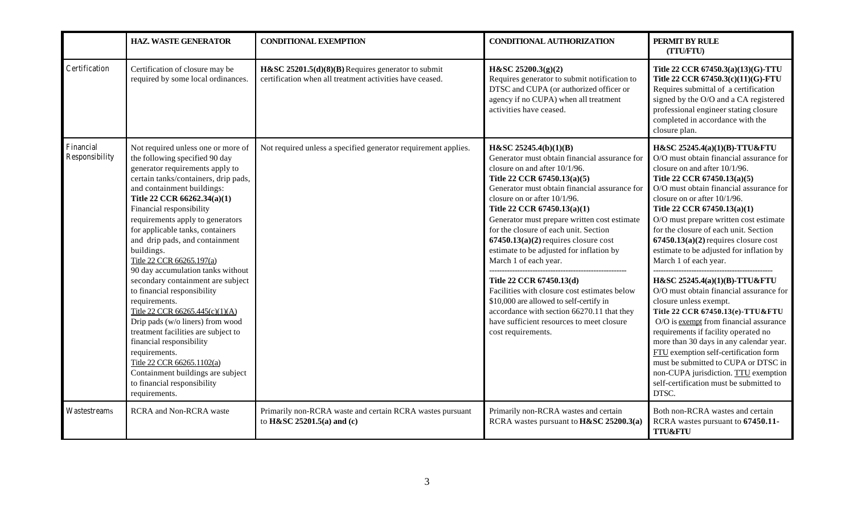|                             | <b>HAZ. WASTE GENERATOR</b>                                                                                                                                                                                                                                                                                                                                                                                                                                                                                                                                                                                                                                                                                                                                                                           | <b>CONDITIONAL EXEMPTION</b>                                                                                   | <b>CONDITIONAL AUTHORIZATION</b>                                                                                                                                                                                                                                                                                                                                                                                                                                                                                                                                                                                                                                                                       | PERMIT BY RULE<br>(TTU/FTU)                                                                                                                                                                                                                                                                                                                                                                                                                                                                                                                                                                                                                                                                                                                                                                                                                                                                              |
|-----------------------------|-------------------------------------------------------------------------------------------------------------------------------------------------------------------------------------------------------------------------------------------------------------------------------------------------------------------------------------------------------------------------------------------------------------------------------------------------------------------------------------------------------------------------------------------------------------------------------------------------------------------------------------------------------------------------------------------------------------------------------------------------------------------------------------------------------|----------------------------------------------------------------------------------------------------------------|--------------------------------------------------------------------------------------------------------------------------------------------------------------------------------------------------------------------------------------------------------------------------------------------------------------------------------------------------------------------------------------------------------------------------------------------------------------------------------------------------------------------------------------------------------------------------------------------------------------------------------------------------------------------------------------------------------|----------------------------------------------------------------------------------------------------------------------------------------------------------------------------------------------------------------------------------------------------------------------------------------------------------------------------------------------------------------------------------------------------------------------------------------------------------------------------------------------------------------------------------------------------------------------------------------------------------------------------------------------------------------------------------------------------------------------------------------------------------------------------------------------------------------------------------------------------------------------------------------------------------|
| Certification               | Certification of closure may be<br>required by some local ordinances.                                                                                                                                                                                                                                                                                                                                                                                                                                                                                                                                                                                                                                                                                                                                 | H&SC 25201.5(d)(8)(B) Requires generator to submit<br>certification when all treatment activities have ceased. | $H\&SC 25200.3(g)(2)$<br>Requires generator to submit notification to<br>DTSC and CUPA (or authorized officer or<br>agency if no CUPA) when all treatment<br>activities have ceased.                                                                                                                                                                                                                                                                                                                                                                                                                                                                                                                   | Title 22 CCR 67450.3(a)(13)(G)-TTU<br>Title 22 CCR 67450.3(c)(11)(G)-FTU<br>Requires submittal of a certification<br>signed by the O/O and a CA registered<br>professional engineer stating closure<br>completed in accordance with the<br>closure plan.                                                                                                                                                                                                                                                                                                                                                                                                                                                                                                                                                                                                                                                 |
| Financial<br>Responsibility | Not required unless one or more of<br>the following specified 90 day<br>generator requirements apply to<br>certain tanks/containers, drip pads,<br>and containment buildings:<br>Title 22 CCR 66262.34(a)(1)<br>Financial responsibility<br>requirements apply to generators<br>for applicable tanks, containers<br>and drip pads, and containment<br>buildings.<br>Title 22 CCR 66265.197(a)<br>90 day accumulation tanks without<br>secondary containment are subject<br>to financial responsibility<br>requirements.<br>Title 22 CCR 66265.445(c)(1)(A)<br>Drip pads (w/o liners) from wood<br>treatment facilities are subject to<br>financial responsibility<br>requirements.<br>Title 22 CCR 66265.1102(a)<br>Containment buildings are subject<br>to financial responsibility<br>requirements. | Not required unless a specified generator requirement applies.                                                 | H&SC 25245.4(b)(1)(B)<br>Generator must obtain financial assurance for<br>closure on and after 10/1/96.<br>Title 22 CCR 67450.13(a)(5)<br>Generator must obtain financial assurance for<br>closure on or after 10/1/96.<br>Title 22 CCR 67450.13(a)(1)<br>Generator must prepare written cost estimate<br>for the closure of each unit. Section<br>$67450.13(a)(2)$ requires closure cost<br>estimate to be adjusted for inflation by<br>March 1 of each year.<br>Title 22 CCR 67450.13(d)<br>Facilities with closure cost estimates below<br>\$10,000 are allowed to self-certify in<br>accordance with section 66270.11 that they<br>have sufficient resources to meet closure<br>cost requirements. | H&SC 25245.4(a)(1)(B)-TTU&FTU<br>O/O must obtain financial assurance for<br>closure on and after 10/1/96.<br>Title 22 CCR 67450.13(a)(5)<br>O/O must obtain financial assurance for<br>closure on or after 10/1/96.<br>Title 22 CCR 67450.13(a)(1)<br>O/O must prepare written cost estimate<br>for the closure of each unit. Section<br>$67450.13(a)(2)$ requires closure cost<br>estimate to be adjusted for inflation by<br>March 1 of each year.<br>H&SC 25245.4(a)(1)(B)-TTU&FTU<br>O/O must obtain financial assurance for<br>closure unless exempt.<br>Title 22 CCR 67450.13(e)-TTU&FTU<br>O/O is exempt from financial assurance<br>requirements if facility operated no<br>more than 30 days in any calendar year.<br>FTU exemption self-certification form<br>must be submitted to CUPA or DTSC in<br>non-CUPA jurisdiction. TTU exemption<br>self-certification must be submitted to<br>DTSC. |
| Wastestreams                | <b>RCRA</b> and Non-RCRA waste                                                                                                                                                                                                                                                                                                                                                                                                                                                                                                                                                                                                                                                                                                                                                                        | Primarily non-RCRA waste and certain RCRA wastes pursuant<br>to H&SC 25201.5(a) and (c)                        | Primarily non-RCRA wastes and certain<br>RCRA wastes pursuant to <b>H&amp;SC 25200.3(a)</b>                                                                                                                                                                                                                                                                                                                                                                                                                                                                                                                                                                                                            | Both non-RCRA wastes and certain<br>RCRA wastes pursuant to 67450.11-<br><b>TTU&amp;FTU</b>                                                                                                                                                                                                                                                                                                                                                                                                                                                                                                                                                                                                                                                                                                                                                                                                              |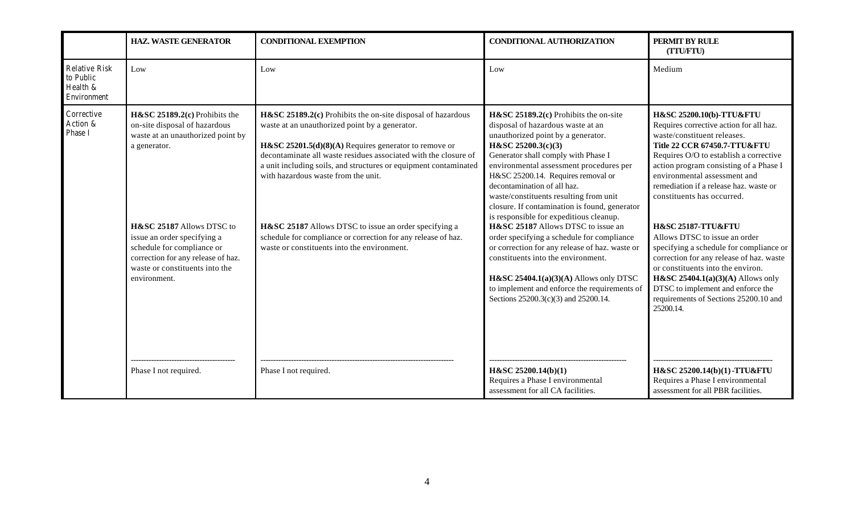|                                                              | <b>HAZ. WASTE GENERATOR</b>                                                                                                                                                                                                                                                                             | <b>CONDITIONAL EXEMPTION</b>                                                                                                                                                                                                                                                                                                                                                                                                                                                                                                      | <b>CONDITIONAL AUTHORIZATION</b>                                                                                                                                                                                                                                                                                                                                                                                                                                                                                                                                                                                                                            | PERMIT BY RULE<br>(TTU/FTU)                                                                                                                                                                                                                                                                                                                                                                                                                                                                                                                                           |
|--------------------------------------------------------------|---------------------------------------------------------------------------------------------------------------------------------------------------------------------------------------------------------------------------------------------------------------------------------------------------------|-----------------------------------------------------------------------------------------------------------------------------------------------------------------------------------------------------------------------------------------------------------------------------------------------------------------------------------------------------------------------------------------------------------------------------------------------------------------------------------------------------------------------------------|-------------------------------------------------------------------------------------------------------------------------------------------------------------------------------------------------------------------------------------------------------------------------------------------------------------------------------------------------------------------------------------------------------------------------------------------------------------------------------------------------------------------------------------------------------------------------------------------------------------------------------------------------------------|-----------------------------------------------------------------------------------------------------------------------------------------------------------------------------------------------------------------------------------------------------------------------------------------------------------------------------------------------------------------------------------------------------------------------------------------------------------------------------------------------------------------------------------------------------------------------|
| <b>Relative Risk</b><br>to Public<br>Health &<br>Environment | Low                                                                                                                                                                                                                                                                                                     | Low                                                                                                                                                                                                                                                                                                                                                                                                                                                                                                                               | Low                                                                                                                                                                                                                                                                                                                                                                                                                                                                                                                                                                                                                                                         | Medium                                                                                                                                                                                                                                                                                                                                                                                                                                                                                                                                                                |
| Corrective<br>Action &<br>Phase I                            | $H&SC 25189.2(c)$ Prohibits the<br>on-site disposal of hazardous<br>waste at an unauthorized point by<br>a generator.<br>H&SC 25187 Allows DTSC to<br>issue an order specifying a<br>schedule for compliance or<br>correction for any release of haz.<br>waste or constituents into the<br>environment. | H&SC 25189.2(c) Prohibits the on-site disposal of hazardous<br>waste at an unauthorized point by a generator.<br>H&SC 25201.5( $d$ )(8)(A) Requires generator to remove or<br>decontaminate all waste residues associated with the closure of<br>a unit including soils, and structures or equipment contaminated<br>with hazardous waste from the unit.<br>H&SC 25187 Allows DTSC to issue an order specifying a<br>schedule for compliance or correction for any release of haz.<br>waste or constituents into the environment. | $H&SC 25189.2(c)$ Prohibits the on-site<br>disposal of hazardous waste at an<br>unauthorized point by a generator.<br>H&SC 25200.3(c)(3)<br>Generator shall comply with Phase I<br>environmental assessment procedures per<br>H&SC 25200.14. Requires removal or<br>decontamination of all haz.<br>waste/constituents resulting from unit<br>closure. If contamination is found, generator<br>is responsible for expeditious cleanup.<br>H&SC 25187 Allows DTSC to issue an<br>order specifying a schedule for compliance<br>or correction for any release of haz. waste or<br>constituents into the environment.<br>H&SC 25404.1(a)(3)(A) Allows only DTSC | H&SC 25200.10(b)-TTU&FTU<br>Requires corrective action for all haz.<br>waste/constituent releases.<br>Title 22 CCR 67450.7-TTU&FTU<br>Requires O/O to establish a corrective<br>action program consisting of a Phase I<br>environmental assessment and<br>remediation if a release haz, waste or<br>constituents has occurred.<br><b>H&amp;SC 25187-TTU&amp;FTU</b><br>Allows DTSC to issue an order<br>specifying a schedule for compliance or<br>correction for any release of haz. waste<br>or constituents into the environ.<br>H&SC 25404.1(a)(3)(A) Allows only |
|                                                              | Phase I not required.                                                                                                                                                                                                                                                                                   | Phase I not required.                                                                                                                                                                                                                                                                                                                                                                                                                                                                                                             | to implement and enforce the requirements of<br>Sections 25200.3(c)(3) and 25200.14.<br>$H\&SC 25200.14(b)(1)$<br>Requires a Phase I environmental<br>assessment for all CA facilities.                                                                                                                                                                                                                                                                                                                                                                                                                                                                     | DTSC to implement and enforce the<br>requirements of Sections 25200.10 and<br>25200.14.<br>H&SC 25200.14(b)(1)-TTU&FTU<br>Requires a Phase I environmental<br>assessment for all PBR facilities.                                                                                                                                                                                                                                                                                                                                                                      |